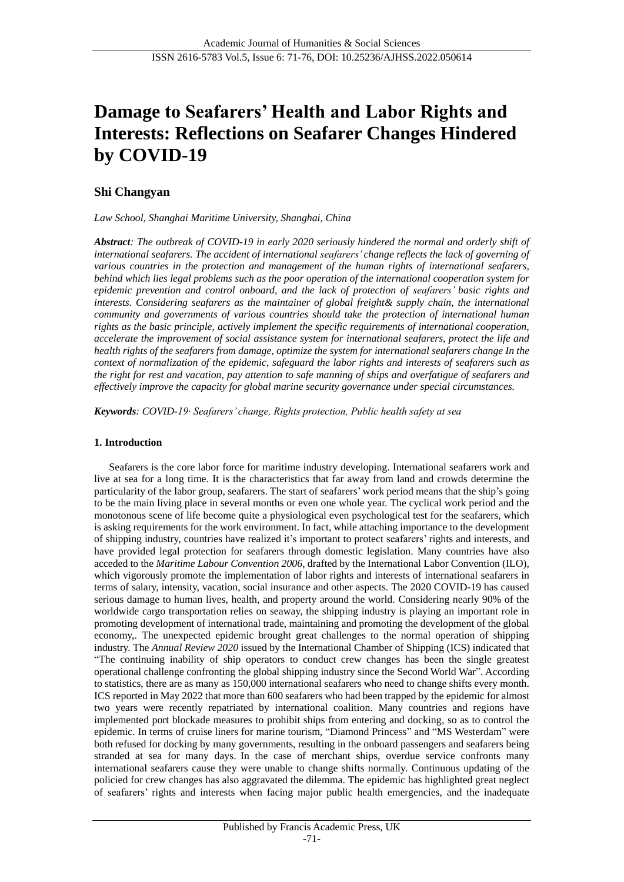# **Damage to Seafarers' Health and Labor Rights and Interests: Reflections on Seafarer Changes Hindered by COVID-19**

# **Shi Changyan**

*Law School, Shanghai Maritime University, Shanghai, China*

*Abstract: The outbreak of COVID-19 in early 2020 seriously hindered the normal and orderly shift of international seafarers. The accident of international seafarers' change reflects the lack of governing of various countries in the protection and management of the human rights of international seafarers, behind which lies legal problems such as the poor operation of the international cooperation system for epidemic prevention and control onboard, and the lack of protection of seafarers' basic rights and interests. Considering seafarers as the maintainer of global freight& supply chain, the international community and governments of various countries should take the protection of international human rights as the basic principle, actively implement the specific requirements of international cooperation, accelerate the improvement of social assistance system for international seafarers, protect the life and health rights of the seafarers from damage, optimize the system for international seafarers change In the context of normalization of the epidemic, safeguard the labor rights and interests of seafarers such as the right for rest and vacation, pay attention to safe manning of ships and overfatigue of seafarers and effectively improve the capacity for global marine security governance under special circumstances.*

*Keywords: COVID-19· Seafarers' change, Rights protection, Public health safety at sea*

## **1. Introduction**

Seafarers is the core labor force for maritime industry developing. International seafarers work and live at sea for a long time. It is the characteristics that far away from land and crowds determine the particularity of the labor group, seafarers. The start of seafarers' work period means that the ship's going to be the main living place in several months or even one whole year. The cyclical work period and the monotonous scene of life become quite a physiological even psychological test for the seafarers, which is asking requirements for the work environment. In fact, while attaching importance to the development of shipping industry, countries have realized it's important to protect seafarers' rights and interests, and have provided legal protection for seafarers through domestic legislation. Many countries have also acceded to the *Maritime Labour Convention 2006*, drafted by the International Labor Convention (ILO), which vigorously promote the implementation of labor rights and interests of international seafarers in terms of salary, intensity, vacation, social insurance and other aspects. The 2020 COVID-19 has caused serious damage to human lives, health, and property around the world. Considering nearly 90% of the worldwide cargo transportation relies on seaway, the shipping industry is playing an important role in promoting development of international trade, maintaining and promoting the development of the global economy,. The unexpected epidemic brought great challenges to the normal operation of shipping industry. The *Annual Review 2020* issued by the International Chamber of Shipping (ICS) indicated that "The continuing inability of ship operators to conduct crew changes has been the single greatest operational challenge confronting the global shipping industry since the Second World War". According to statistics, there are as many as 150,000 international seafarers who need to change shifts every month. ICS reported in May 2022 that more than 600 seafarers who had been trapped by the epidemic for almost two years were recently repatriated by international coalition. Many countries and regions have implemented port blockade measures to prohibit ships from entering and docking, so as to control the epidemic. In terms of cruise liners for marine tourism, "Diamond Princess" and "MS Westerdam" were both refused for docking by many governments, resulting in the onboard passengers and seafarers being stranded at sea for many days. In the case of merchant ships, overdue service confronts many international seafarers cause they were unable to change shifts normally. Continuous updating of the policied for crew changes has also aggravated the dilemma. The epidemic has highlighted great neglect of seafarers' rights and interests when facing major public health emergencies, and the inadequate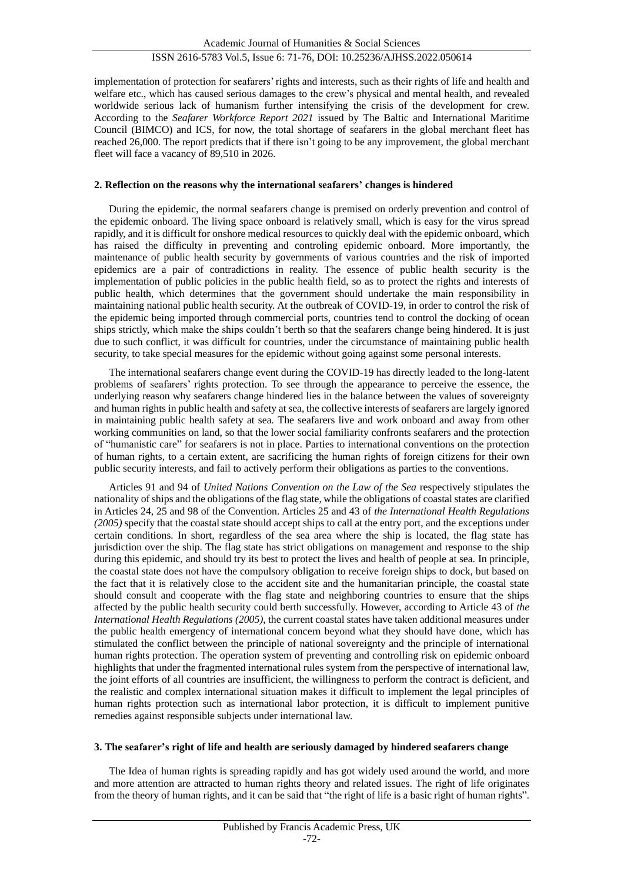## implementation of protection for seafarers'rights and interests, such as their rights of life and health and welfare etc., which has caused serious damages to the crew's physical and mental health, and revealed worldwide serious lack of humanism further intensifying the crisis of the development for crew. According to the *Seafarer Workforce Report 2021* issued by The Baltic and International Maritime Council (BIMCO) and ICS, for now, the total shortage of seafarers in the global merchant fleet has reached 26,000. The report predicts that if there isn't going to be any improvement, the global merchant fleet will face a vacancy of 89,510 in 2026.

## **2. Reflection on the reasons why the international seafarers' changes is hindered**

During the epidemic, the normal seafarers change is premised on orderly prevention and control of the epidemic onboard. The living space onboard is relatively small, which is easy for the virus spread rapidly, and it is difficult for onshore medical resources to quickly deal with the epidemic onboard, which has raised the difficulty in preventing and controling epidemic onboard. More importantly, the maintenance of public health security by governments of various countries and the risk of imported epidemics are a pair of contradictions in reality. The essence of public health security is the implementation of public policies in the public health field, so as to protect the rights and interests of public health, which determines that the government should undertake the main responsibility in maintaining national public health security. At the outbreak of COVID-19, in order to control the risk of the epidemic being imported through commercial ports, countries tend to control the docking of ocean ships strictly, which make the ships couldn't berth so that the seafarers change being hindered. It is just due to such conflict, it was difficult for countries, under the circumstance of maintaining public health security, to take special measures for the epidemic without going against some personal interests.

The international seafarers change event during the COVID-19 has directly leaded to the long-latent problems of seafarers' rights protection. To see through the appearance to perceive the essence, the underlying reason why seafarers change hindered lies in the balance between the values of sovereignty and human rights in public health and safety at sea, the collective interests of seafarers are largely ignored in maintaining public health safety at sea. The seafarers live and work onboard and away from other working communities on land, so that the lower social familiarity confronts seafarers and the protection of "humanistic care" for seafarers is not in place. Parties to international conventions on the protection of human rights, to a certain extent, are sacrificing the human rights of foreign citizens for their own public security interests, and fail to actively perform their obligations as parties to the conventions.

Articles 91 and 94 of *United Nations Convention on the Law of the Sea* respectively stipulates the nationality of ships and the obligations of the flag state, while the obligations of coastal states are clarified in Articles 24, 25 and 98 of the Convention. Articles 25 and 43 of *the International Health Regulations (2005)* specify that the coastal state should accept ships to call at the entry port, and the exceptions under certain conditions. In short, regardless of the sea area where the ship is located, the flag state has jurisdiction over the ship. The flag state has strict obligations on management and response to the ship during this epidemic, and should try its best to protect the lives and health of people at sea. In principle, the coastal state does not have the compulsory obligation to receive foreign ships to dock, but based on the fact that it is relatively close to the accident site and the humanitarian principle, the coastal state should consult and cooperate with the flag state and neighboring countries to ensure that the ships affected by the public health security could berth successfully. However, according to Article 43 of *the International Health Regulations (2005)*, the current coastal states have taken additional measures under the public health emergency of international concern beyond what they should have done, which has stimulated the conflict between the principle of national sovereignty and the principle of international human rights protection. The operation system of preventing and controlling risk on epidemic onboard highlights that under the fragmented international rules system from the perspective of international law, the joint efforts of all countries are insufficient, the willingness to perform the contract is deficient, and the realistic and complex international situation makes it difficult to implement the legal principles of human rights protection such as international labor protection, it is difficult to implement punitive remedies against responsible subjects under international law.

#### **3. The seafarer's right of life and health are seriously damaged by hindered seafarers change**

The Idea of human rights is spreading rapidly and has got widely used around the world, and more and more attention are attracted to human rights theory and related issues. The right of life originates from the theory of human rights, and it can be said that "the right of life is a basic right of human rights".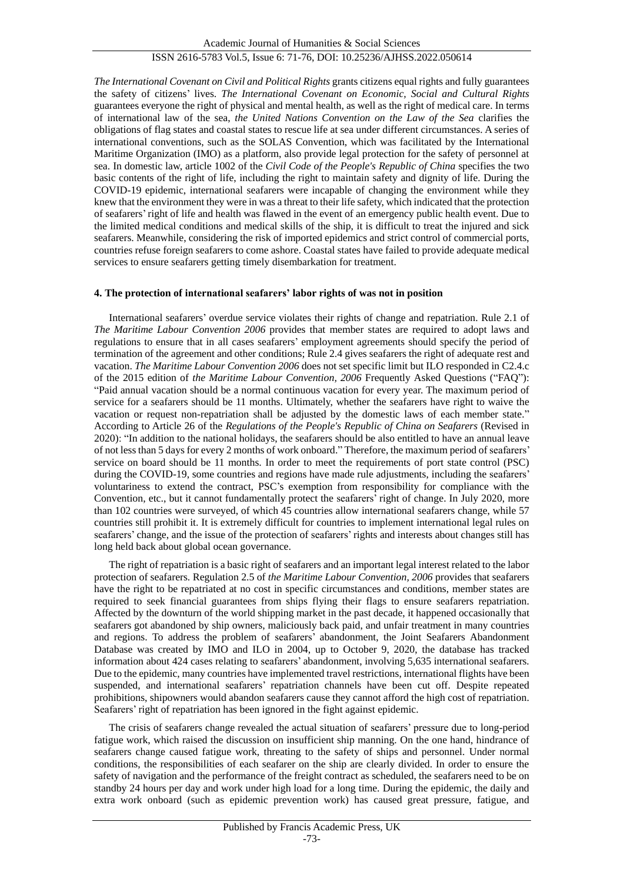*The International Covenant on Civil and Political Rights* grants citizens equal rights and fully guarantees the safety of citizens' lives. *The International Covenant on Economic, Social and Cultural Rights*  guarantees everyone the right of physical and mental health, as well as the right of medical care. In terms of international law of the sea, *the United Nations Convention on the Law of the Sea* clarifies the obligations of flag states and coastal states to rescue life at sea under different circumstances. A series of international conventions, such as the SOLAS Convention, which was facilitated by the International Maritime Organization (IMO) as a platform, also provide legal protection for the safety of personnel at sea. In domestic law, article 1002 of the *Civil Code of the People's Republic of China* specifies the two basic contents of the right of life, including the right to maintain safety and dignity of life. During the COVID-19 epidemic, international seafarers were incapable of changing the environment while they knew that the environment they were in was a threat to their life safety, which indicated that the protection of seafarers'right of life and health was flawed in the event of an emergency public health event. Due to the limited medical conditions and medical skills of the ship, it is difficult to treat the injured and sick seafarers. Meanwhile, considering the risk of imported epidemics and strict control of commercial ports, countries refuse foreign seafarers to come ashore. Coastal states have failed to provide adequate medical services to ensure seafarers getting timely disembarkation for treatment.

#### **4. The protection of international seafarers' labor rights of was not in position**

International seafarers' overdue service violates their rights of change and repatriation. Rule 2.1 of *The Maritime Labour Convention 2006* provides that member states are required to adopt laws and regulations to ensure that in all cases seafarers' employment agreements should specify the period of termination of the agreement and other conditions; Rule 2.4 gives seafarers the right of adequate rest and vacation. *The Maritime Labour Convention 2006* does not set specific limit but ILO responded in C2.4.c of the 2015 edition of *the Maritime Labour Convention, 2006* Frequently Asked Questions ("FAQ"): "Paid annual vacation should be a normal continuous vacation for every year. The maximum period of service for a seafarers should be 11 months. Ultimately, whether the seafarers have right to waive the vacation or request non-repatriation shall be adjusted by the domestic laws of each member state." According to Article 26 of the *Regulations of the People's Republic of China on Seafarers* (Revised in 2020): "In addition to the national holidays, the seafarers should be also entitled to have an annual leave of not less than 5 days for every 2 months of work onboard." Therefore, the maximum period of seafarers' service on board should be 11 months. In order to meet the requirements of port state control (PSC) during the COVID-19, some countries and regions have made rule adjustments, including the seafarers' voluntariness to extend the contract, PSC's exemption from responsibility for compliance with the Convention, etc., but it cannot fundamentally protect the seafarers' right of change. In July 2020, more than 102 countries were surveyed, of which 45 countries allow international seafarers change, while 57 countries still prohibit it. It is extremely difficult for countries to implement international legal rules on seafarers' change, and the issue of the protection of seafarers' rights and interests about changes still has long held back about global ocean governance.

The right of repatriation is a basic right of seafarers and an important legal interest related to the labor protection of seafarers. Regulation 2.5 of *the Maritime Labour Convention, 2006* provides that seafarers have the right to be repatriated at no cost in specific circumstances and conditions, member states are required to seek financial guarantees from ships flying their flags to ensure seafarers repatriation. Affected by the downturn of the world shipping market in the past decade, it happened occasionally that seafarers got abandoned by ship owners, maliciously back paid, and unfair treatment in many countries and regions. To address the problem of seafarers' abandonment, the Joint Seafarers Abandonment Database was created by IMO and ILO in 2004, up to October 9, 2020, the database has tracked information about 424 cases relating to seafarers' abandonment, involving 5,635 international seafarers. Due to the epidemic, many countries have implemented travel restrictions, international flights have been suspended, and international seafarers' repatriation channels have been cut off. Despite repeated prohibitions, shipowners would abandon seafarers cause they cannot afford the high cost of repatriation. Seafarers' right of repatriation has been ignored in the fight against epidemic.

The crisis of seafarers change revealed the actual situation of seafarers' pressure due to long-period fatigue work, which raised the discussion on insufficient ship manning. On the one hand, hindrance of seafarers change caused fatigue work, threating to the safety of ships and personnel. Under normal conditions, the responsibilities of each seafarer on the ship are clearly divided. In order to ensure the safety of navigation and the performance of the freight contract as scheduled, the seafarers need to be on standby 24 hours per day and work under high load for a long time. During the epidemic, the daily and extra work onboard (such as epidemic prevention work) has caused great pressure, fatigue, and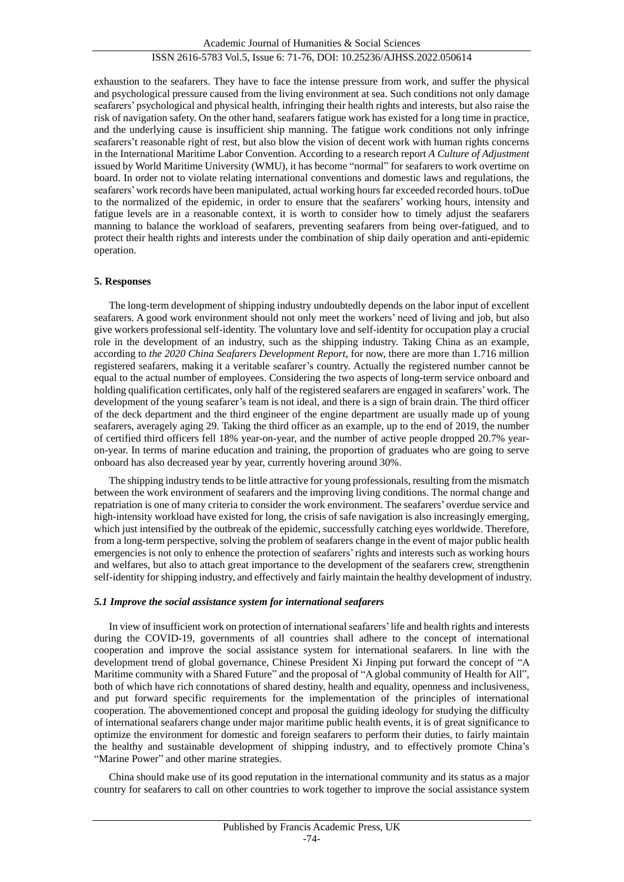exhaustion to the seafarers. They have to face the intense pressure from work, and suffer the physical and psychological pressure caused from the living environment at sea. Such conditions not only damage seafarers' psychological and physical health, infringing their health rights and interests, but also raise the risk of navigation safety. On the other hand, seafarers fatigue work has existed for a long time in practice, and the underlying cause is insufficient ship manning. The fatigue work conditions not only infringe seafarers't reasonable right of rest, but also blow the vision of decent work with human rights concerns in the International Maritime Labor Convention. According to a research report *A Culture of Adjustment* issued by World Maritime University (WMU), it has become "normal" for seafarers to work overtime on board. In order not to violate relating international conventions and domestic laws and regulations, the seafarers' work records have been manipulated, actual working hours far exceeded recorded hours. toDue to the normalized of the epidemic, in order to ensure that the seafarers' working hours, intensity and fatigue levels are in a reasonable context, it is worth to consider how to timely adjust the seafarers manning to balance the workload of seafarers, preventing seafarers from being over-fatigued, and to protect their health rights and interests under the combination of ship daily operation and anti-epidemic operation.

#### **5. Responses**

The long-term development of shipping industry undoubtedly depends on the labor input of excellent seafarers. A good work environment should not only meet the workers' need of living and job, but also give workers professional self-identity. The voluntary love and self-identity for occupation play a crucial role in the development of an industry, such as the shipping industry. Taking China as an example, according to *the 2020 China Seafarers Development Report*, for now, there are more than 1.716 million registered seafarers, making it a veritable seafarer's country. Actually the registered number cannot be equal to the actual number of employees. Considering the two aspects of long-term service onboard and holding qualification certificates, only half of the registered seafarers are engaged in seafarers'work. The development of the young seafarer's team is not ideal, and there is a sign of brain drain. The third officer of the deck department and the third engineer of the engine department are usually made up of young seafarers, averagely aging 29. Taking the third officer as an example, up to the end of 2019, the number of certified third officers fell 18% year-on-year, and the number of active people dropped 20.7% yearon-year. In terms of marine education and training, the proportion of graduates who are going to serve onboard has also decreased year by year, currently hovering around 30%.

The shipping industry tends to be little attractive for young professionals, resulting from the mismatch between the work environment of seafarers and the improving living conditions. The normal change and repatriation is one of many criteria to consider the work environment. The seafarers' overdue service and high-intensity workload have existed for long, the crisis of safe navigation is also increasingly emerging, which just intensified by the outbreak of the epidemic, successfully catching eyes worldwide. Therefore, from a long-term perspective, solving the problem of seafarers change in the event of major public health emergencies is not only to enhence the protection of seafarers' rights and interests such as working hours and welfares, but also to attach great importance to the development of the seafarers crew, strengthenin self-identity for shipping industry, and effectively and fairly maintain the healthy development of industry.

#### *5.1 Improve the social assistance system for international seafarers*

In view of insufficient work on protection of international seafarers'life and health rights and interests during the COVID-19, governments of all countries shall adhere to the concept of international cooperation and improve the social assistance system for international seafarers. In line with the development trend of global governance, Chinese President Xi Jinping put forward the concept of "A Maritime community with a Shared Future" and the proposal of "A global community of Health for All", both of which have rich connotations of shared destiny, health and equality, openness and inclusiveness, and put forward specific requirements for the implementation of the principles of international cooperation. The abovementioned concept and proposal the guiding ideology for studying the difficulty of international seafarers change under major maritime public health events, it is of great significance to optimize the environment for domestic and foreign seafarers to perform their duties, to fairly maintain the healthy and sustainable development of shipping industry, and to effectively promote China's "Marine Power" and other marine strategies.

China should make use of its good reputation in the international community and its status as a major country for seafarers to call on other countries to work together to improve the social assistance system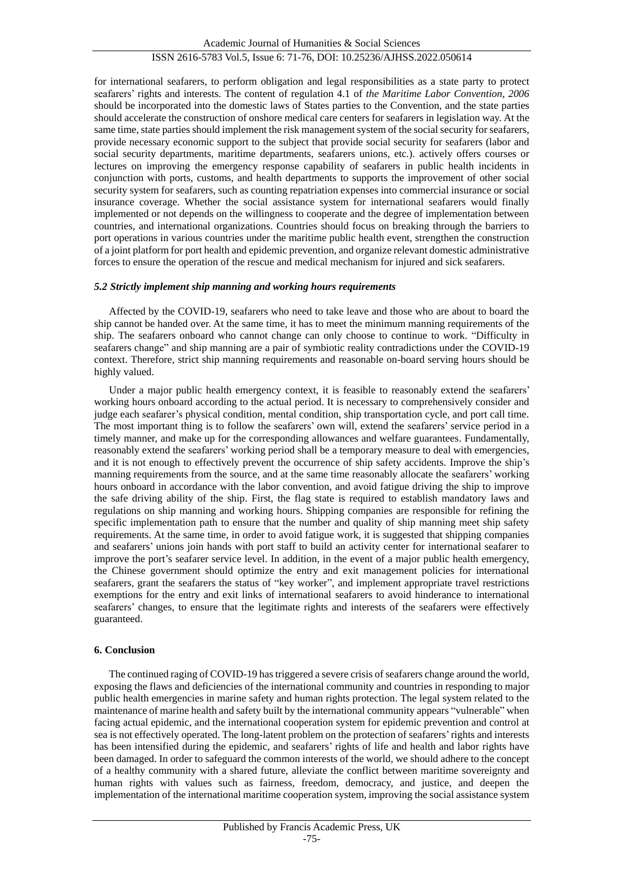for international seafarers, to perform obligation and legal responsibilities as a state party to protect seafarers' rights and interests. The content of regulation 4.1 of *the Maritime Labor Convention, 2006* should be incorporated into the domestic laws of States parties to the Convention, and the state parties should accelerate the construction of onshore medical care centers for seafarers in legislation way. At the same time, state parties should implement the risk management system of the social security for seafarers, provide necessary economic support to the subject that provide social security for seafarers (labor and social security departments, maritime departments, seafarers unions, etc.). actively offers courses or lectures on improving the emergency response capability of seafarers in public health incidents in conjunction with ports, customs, and health departments to supports the improvement of other social security system for seafarers, such as counting repatriation expenses into commercial insurance or social insurance coverage. Whether the social assistance system for international seafarers would finally implemented or not depends on the willingness to cooperate and the degree of implementation between countries, and international organizations. Countries should focus on breaking through the barriers to port operations in various countries under the maritime public health event, strengthen the construction of a joint platform for port health and epidemic prevention, and organize relevant domestic administrative forces to ensure the operation of the rescue and medical mechanism for injured and sick seafarers.

#### *5.2 Strictly implement ship manning and working hours requirements*

Affected by the COVID-19, seafarers who need to take leave and those who are about to board the ship cannot be handed over. At the same time, it has to meet the minimum manning requirements of the ship. The seafarers onboard who cannot change can only choose to continue to work. "Difficulty in seafarers change" and ship manning are a pair of symbiotic reality contradictions under the COVID-19 context. Therefore, strict ship manning requirements and reasonable on-board serving hours should be highly valued.

Under a major public health emergency context, it is feasible to reasonably extend the seafarers' working hours onboard according to the actual period. It is necessary to comprehensively consider and judge each seafarer's physical condition, mental condition, ship transportation cycle, and port call time. The most important thing is to follow the seafarers' own will, extend the seafarers' service period in a timely manner, and make up for the corresponding allowances and welfare guarantees. Fundamentally, reasonably extend the seafarers' working period shall be a temporary measure to deal with emergencies, and it is not enough to effectively prevent the occurrence of ship safety accidents. Improve the ship's manning requirements from the source, and at the same time reasonably allocate the seafarers' working hours onboard in accordance with the labor convention, and avoid fatigue driving the ship to improve the safe driving ability of the ship. First, the flag state is required to establish mandatory laws and regulations on ship manning and working hours. Shipping companies are responsible for refining the specific implementation path to ensure that the number and quality of ship manning meet ship safety requirements. At the same time, in order to avoid fatigue work, it is suggested that shipping companies and seafarers' unions join hands with port staff to build an activity center for international seafarer to improve the port's seafarer service level. In addition, in the event of a major public health emergency, the Chinese government should optimize the entry and exit management policies for international seafarers, grant the seafarers the status of "key worker", and implement appropriate travel restrictions exemptions for the entry and exit links of international seafarers to avoid hinderance to international seafarers' changes, to ensure that the legitimate rights and interests of the seafarers were effectively guaranteed.

#### **6. Conclusion**

The continued raging of COVID-19 has triggered a severe crisis of seafarers change around the world, exposing the flaws and deficiencies of the international community and countries in responding to major public health emergencies in marine safety and human rights protection. The legal system related to the maintenance of marine health and safety built by the international community appears "vulnerable" when facing actual epidemic, and the international cooperation system for epidemic prevention and control at sea is not effectively operated. The long-latent problem on the protection of seafarers'rights and interests has been intensified during the epidemic, and seafarers' rights of life and health and labor rights have been damaged. In order to safeguard the common interests of the world, we should adhere to the concept of a healthy community with a shared future, alleviate the conflict between maritime sovereignty and human rights with values such as fairness, freedom, democracy, and justice, and deepen the implementation of the international maritime cooperation system, improving the social assistance system